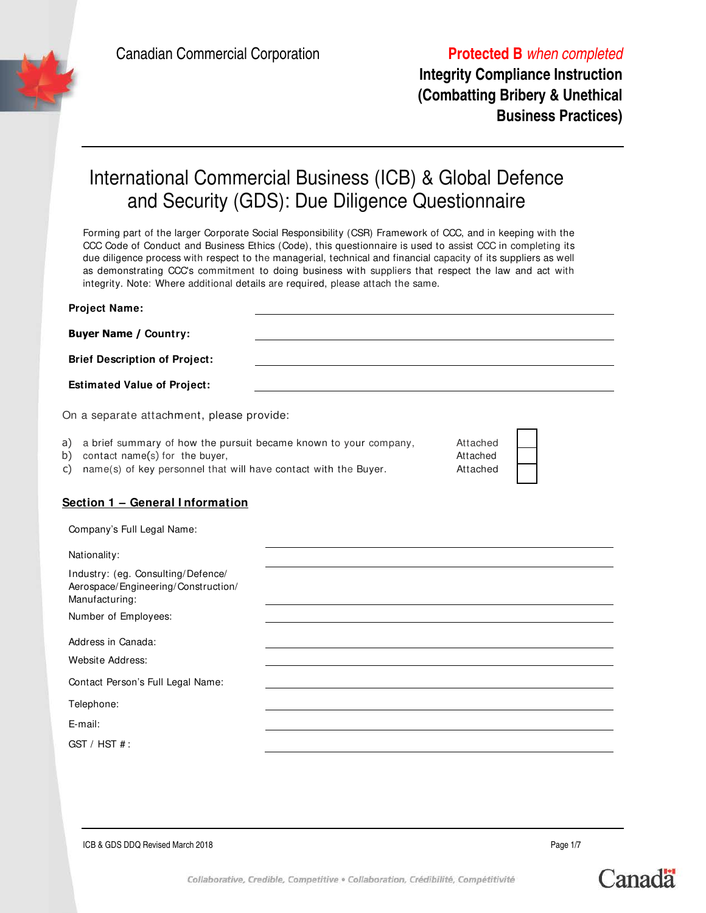

**Integrity Compliance Instruction (Combatting Bribery & Unethical Business Practices)**

# International Commercial Business (ICB) & Global Defence and Security (GDS): Due Diligence Questionnaire

Forming part of the larger Corporate Social Responsibility (CSR) Framework of CCC, and in keeping with the CCC Code of Conduct and Business Ethics (Code), this questionnaire is used to assist CCC in completing its due diligence process with respect to the managerial, technical and financial capacity of its suppliers as well as demonstrating CCC's commitment to doing business with suppliers that respect the law and act with integrity. Note: Where additional details are required, please attach the same.

| <b>Project Name:</b>                                                                                                                                                                    |                                  |  |
|-----------------------------------------------------------------------------------------------------------------------------------------------------------------------------------------|----------------------------------|--|
| <b>Buyer Name / Country:</b>                                                                                                                                                            |                                  |  |
| <b>Brief Description of Project:</b>                                                                                                                                                    |                                  |  |
| <b>Estimated Value of Project:</b>                                                                                                                                                      |                                  |  |
| On a separate attachment, please provide:                                                                                                                                               |                                  |  |
| a brief summary of how the pursuit became known to your company,<br>a)<br>contact name(s) for the buyer,<br>b)<br>name(s) of key personnel that will have contact with the Buyer.<br>C) | Attached<br>Attached<br>Attached |  |
| Section 1 - General Information                                                                                                                                                         |                                  |  |
| Company's Full Legal Name:                                                                                                                                                              |                                  |  |
| Nationality:                                                                                                                                                                            |                                  |  |
| Industry: (eg. Consulting/Defence/<br>Aerospace/Engineering/Construction/<br>Manufacturing:                                                                                             |                                  |  |
| Number of Employees:                                                                                                                                                                    |                                  |  |
| Address in Canada:                                                                                                                                                                      |                                  |  |
| <b>Website Address:</b>                                                                                                                                                                 |                                  |  |
| Contact Person's Full Legal Name:                                                                                                                                                       |                                  |  |
| Telephone:                                                                                                                                                                              |                                  |  |
| E-mail:                                                                                                                                                                                 |                                  |  |
| GST / HST #:                                                                                                                                                                            |                                  |  |
|                                                                                                                                                                                         |                                  |  |

Canada

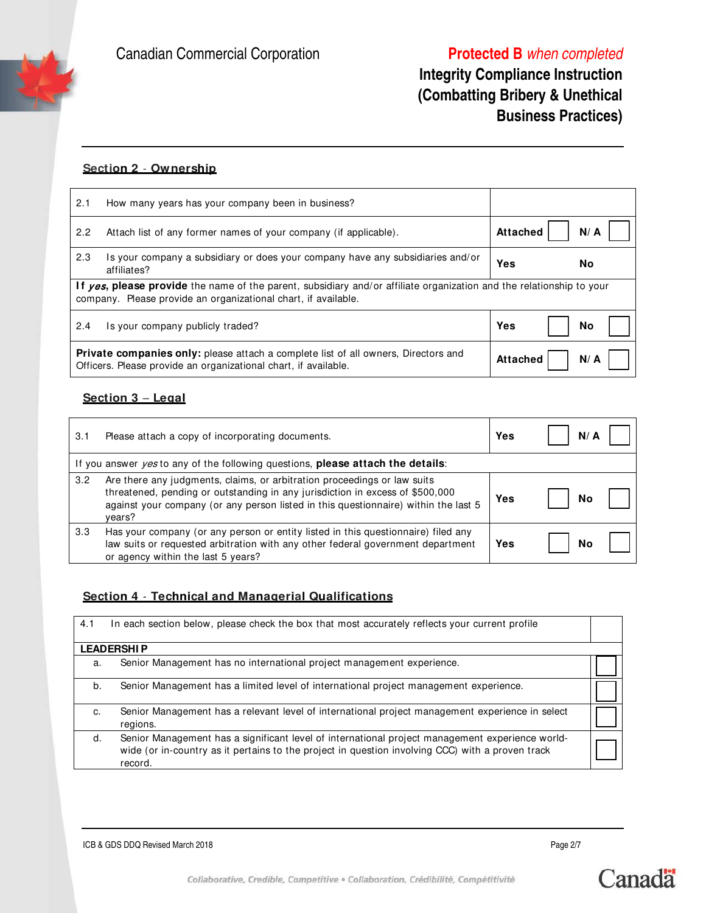# **Integrity Compliance Instruction (Combatting Bribery & Unethical Business Practices)**

#### **Section 2** - **Ownership**

| 2.1                                                                                                                                                                                    | How many years has your company been in business?                                                                                                            |                           |
|----------------------------------------------------------------------------------------------------------------------------------------------------------------------------------------|--------------------------------------------------------------------------------------------------------------------------------------------------------------|---------------------------|
| 2.2                                                                                                                                                                                    | Attach list of any former names of your company (if applicable).                                                                                             | <b>Attached</b><br>$N/$ A |
| 2.3                                                                                                                                                                                    | Is your company a subsidiary or does your company have any subsidiaries and/or<br>affiliates?                                                                | Yes<br>Nο                 |
| If yes, please provide the name of the parent, subsidiary and/or affiliate organization and the relationship to your<br>company. Please provide an organizational chart, if available. |                                                                                                                                                              |                           |
| 2.4                                                                                                                                                                                    | Is your company publicly traded?                                                                                                                             | Yes<br>No                 |
|                                                                                                                                                                                        | <b>Private companies only:</b> please attach a complete list of all owners, Directors and<br>Officers. Please provide an organizational chart, if available. | <b>Attached</b><br>N/ A   |

## **Section 3** – **Legal**

| 3.1 | Please attach a copy of incorporating documents.                                                                                                                                                                                                           | Yes | N/ |  |
|-----|------------------------------------------------------------------------------------------------------------------------------------------------------------------------------------------------------------------------------------------------------------|-----|----|--|
|     | If you answer <i>yes</i> to any of the following questions, <b>please attach the details</b> :                                                                                                                                                             |     |    |  |
| 3.2 | Are there any judgments, claims, or arbitration proceedings or law suits<br>threatened, pending or outstanding in any jurisdiction in excess of \$500,000<br>against your company (or any person listed in this questionnaire) within the last 5<br>years? | Yes | Nο |  |
| 3.3 | Has your company (or any person or entity listed in this questionnaire) filed any<br>law suits or requested arbitration with any other federal government department<br>or agency within the last 5 years?                                                 | Yes | No |  |

### **Section 4** - **Technical and Managerial Qualifications**

| 4.1 | In each section below, please check the box that most accurately reflects your current profile                                                                                                                 |  |
|-----|----------------------------------------------------------------------------------------------------------------------------------------------------------------------------------------------------------------|--|
|     | <b>LEADERSHIP</b>                                                                                                                                                                                              |  |
| a.  | Senior Management has no international project management experience.                                                                                                                                          |  |
| b.  | Senior Management has a limited level of international project management experience.                                                                                                                          |  |
| c.  | Senior Management has a relevant level of international project management experience in select<br>regions.                                                                                                    |  |
| d.  | Senior Management has a significant level of international project management experience world-<br>wide (or in-country as it pertains to the project in question involving CCC) with a proven track<br>record. |  |

ICB & GDS DDQ Revised March 2018 **Page 2/7** 

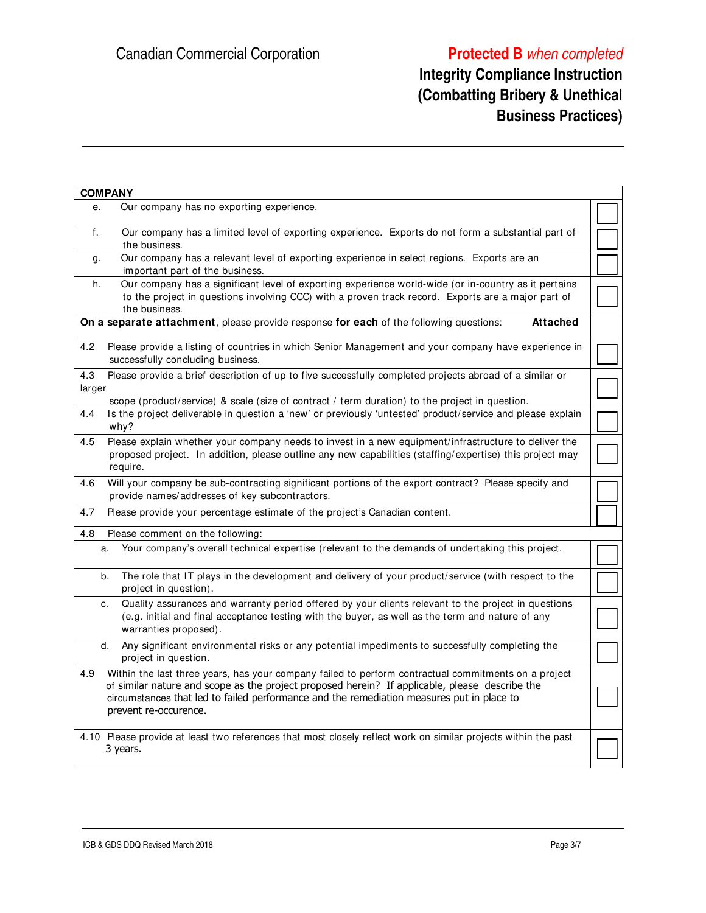# **Integrity Compliance Instruction (Combatting Bribery & Unethical Business Practices)**

|               | <b>COMPANY</b>                                                                                                                                                                                                                                                                                                               |  |
|---------------|------------------------------------------------------------------------------------------------------------------------------------------------------------------------------------------------------------------------------------------------------------------------------------------------------------------------------|--|
| е.            | Our company has no exporting experience.                                                                                                                                                                                                                                                                                     |  |
| f.            | Our company has a limited level of exporting experience. Exports do not form a substantial part of<br>the business.                                                                                                                                                                                                          |  |
| g.            | Our company has a relevant level of exporting experience in select regions. Exports are an<br>important part of the business.                                                                                                                                                                                                |  |
| h.            | Our company has a significant level of exporting experience world-wide (or in-country as it pertains<br>to the project in questions involving CCC) with a proven track record. Exports are a major part of<br>the business.                                                                                                  |  |
|               | On a separate attachment, please provide response for each of the following questions:<br><b>Attached</b>                                                                                                                                                                                                                    |  |
| 4.2           | Please provide a listing of countries in which Senior Management and your company have experience in<br>successfully concluding business.                                                                                                                                                                                    |  |
| 4.3<br>larger | Please provide a brief description of up to five successfully completed projects abroad of a similar or<br>scope (product/service) & scale (size of contract / term duration) to the project in question.                                                                                                                    |  |
| 4.4           | Is the project deliverable in question a 'new' or previously 'untested' product/service and please explain<br>why?                                                                                                                                                                                                           |  |
| 4.5           | Please explain whether your company needs to invest in a new equipment/infrastructure to deliver the<br>proposed project. In addition, please outline any new capabilities (staffing/expertise) this project may<br>require.                                                                                                 |  |
| 4.6           | Will your company be sub-contracting significant portions of the export contract? Please specify and<br>provide names/addresses of key subcontractors.                                                                                                                                                                       |  |
| 4.7           | Please provide your percentage estimate of the project's Canadian content.                                                                                                                                                                                                                                                   |  |
| 4.8           | Please comment on the following:                                                                                                                                                                                                                                                                                             |  |
| a.            | Your company's overall technical expertise (relevant to the demands of undertaking this project.                                                                                                                                                                                                                             |  |
| b.            | The role that IT plays in the development and delivery of your product/service (with respect to the<br>project in question).                                                                                                                                                                                                 |  |
| c.            | Quality assurances and warranty period offered by your clients relevant to the project in questions<br>(e.g. initial and final acceptance testing with the buyer, as well as the term and nature of any<br>warranties proposed).                                                                                             |  |
| d.            | Any significant environmental risks or any potential impediments to successfully completing the<br>project in question.                                                                                                                                                                                                      |  |
| 4.9           | Within the last three years, has your company failed to perform contractual commitments on a project<br>of similar nature and scope as the project proposed herein? If applicable, please describe the<br>circumstances that led to failed performance and the remediation measures put in place to<br>prevent re-occurence. |  |
|               | 4.10 Please provide at least two references that most closely reflect work on similar projects within the past<br>3 years.                                                                                                                                                                                                   |  |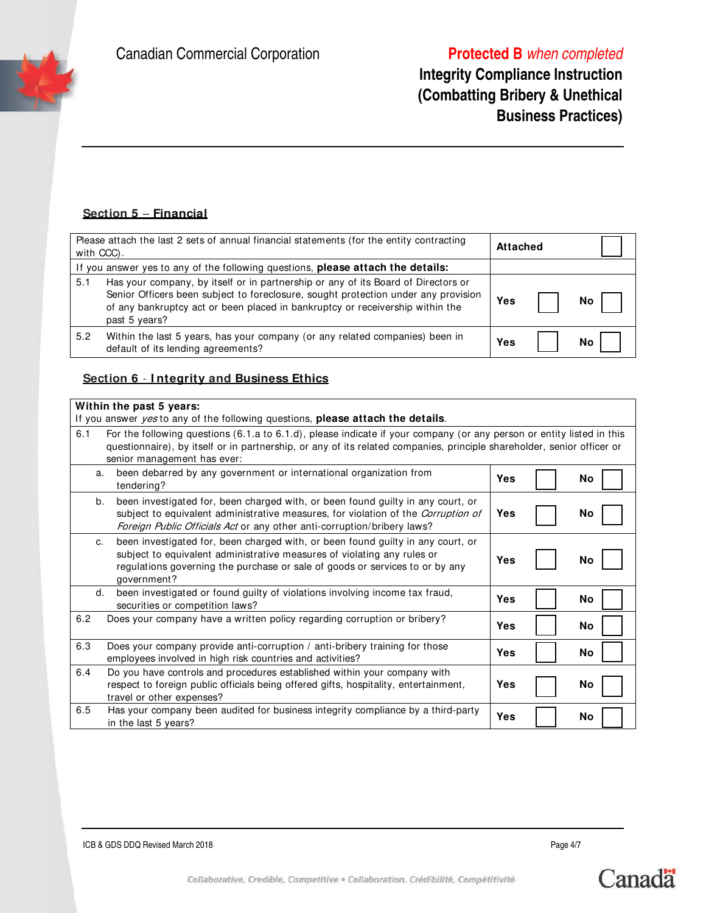# **Integrity Compliance Instruction (Combatting Bribery & Unethical Business Practices)**

## **Section 5** – **Financial**

| Please attach the last 2 sets of annual financial statements (for the entity contracting<br>with CCC).                                                                                                                                                                           |     |    |
|----------------------------------------------------------------------------------------------------------------------------------------------------------------------------------------------------------------------------------------------------------------------------------|-----|----|
| If you answer yes to any of the following questions, please attach the details:                                                                                                                                                                                                  |     |    |
| Has your company, by itself or in partnership or any of its Board of Directors or<br>5.1<br>Senior Officers been subject to foreclosure, sought protection under any provision<br>of any bankruptcy act or been placed in bankruptcy or receivership within the<br>past 5 years? | Yes | Nο |
| 5.2<br>Within the last 5 years, has your company (or any related companies) been in<br>default of its lending agreements?                                                                                                                                                        | Yes | Νo |

#### **Section 6** - **I ntegrity and Business Ethics**

#### **Within the past 5 years:**

| If you answer <i>yes</i> to any of the following questions, <b>please attach the details</b> .                                                                                                                                                                  |                                                                                                                                                                                                                                                 |  |    |  |  |
|-----------------------------------------------------------------------------------------------------------------------------------------------------------------------------------------------------------------------------------------------------------------|-------------------------------------------------------------------------------------------------------------------------------------------------------------------------------------------------------------------------------------------------|--|----|--|--|
| 6.1<br>senior management has ever:                                                                                                                                                                                                                              | For the following questions (6.1.a to 6.1.d), please indicate if your company (or any person or entity listed in this<br>questionnaire), by itself or in partnership, or any of its related companies, principle shareholder, senior officer or |  |    |  |  |
| been debarred by any government or international organization from<br>a.<br>tendering?                                                                                                                                                                          | <b>Yes</b>                                                                                                                                                                                                                                      |  | No |  |  |
| been investigated for, been charged with, or been found guilty in any court, or<br>b.<br>subject to equivalent administrative measures, for violation of the <i>Corruption of</i><br>Foreign Public Officials Act or any other anti-corruption/bribery laws?    | <b>Yes</b>                                                                                                                                                                                                                                      |  | No |  |  |
| been investigated for, been charged with, or been found guilty in any court, or<br>C.<br>subject to equivalent administrative measures of violating any rules or<br>regulations governing the purchase or sale of goods or services to or by any<br>government? | Yes                                                                                                                                                                                                                                             |  | No |  |  |
| been investigated or found guilty of violations involving income tax fraud,<br>d.<br>securities or competition laws?                                                                                                                                            | <b>Yes</b>                                                                                                                                                                                                                                      |  | No |  |  |
| 6.2<br>Does your company have a written policy regarding corruption or bribery?                                                                                                                                                                                 | <b>Yes</b>                                                                                                                                                                                                                                      |  | No |  |  |
| Does your company provide anti-corruption / anti-bribery training for those<br>6.3<br>employees involved in high risk countries and activities?                                                                                                                 | <b>Yes</b>                                                                                                                                                                                                                                      |  | No |  |  |
| Do you have controls and procedures established within your company with<br>6.4<br>respect to foreign public officials being offered gifts, hospitality, entertainment,<br>travel or other expenses?                                                            | Yes                                                                                                                                                                                                                                             |  | No |  |  |
| Has your company been audited for business integrity compliance by a third-party<br>6.5<br>in the last 5 years?                                                                                                                                                 | <b>Yes</b>                                                                                                                                                                                                                                      |  | No |  |  |

ICB & GDS DDQ Revised March 2018 Page 4/7



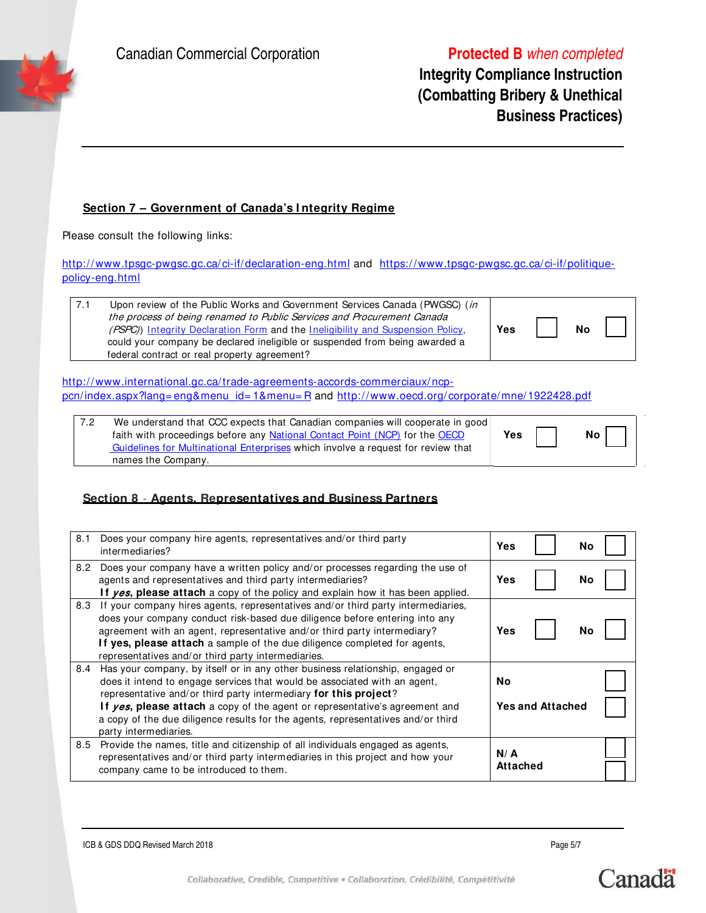## **Integrity Compliance Instruction (Combatting Bribery & Unethical Business Practices)**

### **Section 7 – Government of Canada's I ntegrity Regime**

Please consult the following links:

http://www.tpsgc-pwgsc.gc.ca/ci-if/declaration-eng.html and https://www.tpsgc-pwgsc.gc.ca/ci-if/politiquepolicy-eng.html

| 7.1 | Upon review of the Public Works and Government Services Canada (PWGSC) (in<br>the process of being renamed to Public Services and Procurement Canada<br>(PSPC) Integrity Declaration Form and the Ineligibility and Suspension Policy,<br>could your company be declared ineligible or suspended from being awarded a<br>federal contract or real property agreement? | Yes |  | <b>No</b> |  |
|-----|-----------------------------------------------------------------------------------------------------------------------------------------------------------------------------------------------------------------------------------------------------------------------------------------------------------------------------------------------------------------------|-----|--|-----------|--|
|-----|-----------------------------------------------------------------------------------------------------------------------------------------------------------------------------------------------------------------------------------------------------------------------------------------------------------------------------------------------------------------------|-----|--|-----------|--|

http://www.international.gc.ca/trade-agreements-accords-commerciaux/ncppcn/index.aspx?lang= eng&menu\_id= 1&menu= R and http://www.oecd.org/ corporate/mne/1922428.pdf

| We understand that CCC expects that Canadian companies will cooperate in good<br>faith with proceedings before any National Contact Point (NCP) for the OECD | <b>Yes</b> | No |
|--------------------------------------------------------------------------------------------------------------------------------------------------------------|------------|----|
| Guidelines for Multinational Enterprises which involve a request for review that<br>names the Company.                                                       |            |    |

### **Section 8** - **Agents, Representatives and Business Partners**

| 8.1 | Does your company hire agents, representatives and/or third party<br>intermediaries?                                                                                                                                                                                                                                                                                                                                       | Yes<br>No                     |
|-----|----------------------------------------------------------------------------------------------------------------------------------------------------------------------------------------------------------------------------------------------------------------------------------------------------------------------------------------------------------------------------------------------------------------------------|-------------------------------|
| 8.2 | Does your company have a written policy and/or processes regarding the use of<br>agents and representatives and third party intermediaries?<br>If yes, please attach a copy of the policy and explain how it has been applied.                                                                                                                                                                                             | Yes<br>No                     |
| 8.3 | If your company hires agents, representatives and/or third party intermediaries,<br>does your company conduct risk-based due diligence before entering into any<br>agreement with an agent, representative and/or third party intermediary?<br>If yes, please attach a sample of the due diligence completed for agents,<br>representatives and/or third party intermediaries.                                             | Yes<br>No                     |
| 8.4 | Has your company, by itself or in any other business relationship, engaged or<br>does it intend to engage services that would be associated with an agent,<br>representative and/or third party intermediary for this project?<br>If yes, please attach a copy of the agent or representative's agreement and<br>a copy of the due diligence results for the agents, representatives and/or third<br>party intermediaries. | No<br><b>Yes and Attached</b> |
| 8.5 | Provide the names, title and citizenship of all individuals engaged as agents,<br>representatives and/or third party intermediaries in this project and how your<br>company came to be introduced to them.                                                                                                                                                                                                                 | N/A<br>Attached               |

ICB & GDS DDQ Revised March 2018 Page 5/7



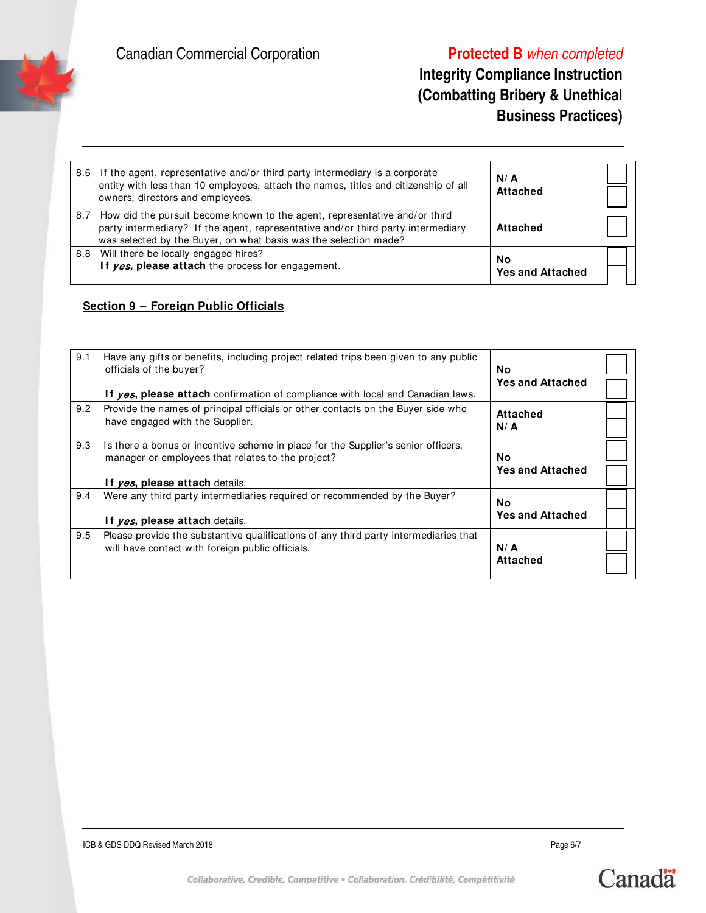# **Integrity Compliance Instruction (Combatting Bribery & Unethical Business Practices)**

| 8.6 | If the agent, representative and/or third party intermediary is a corporate<br>entity with less than 10 employees, attach the names, titles and citizenship of all<br>owners, directors and employees.                                 | N/A<br><b>Attached</b>        |  |
|-----|----------------------------------------------------------------------------------------------------------------------------------------------------------------------------------------------------------------------------------------|-------------------------------|--|
|     | 8.7 How did the pursuit become known to the agent, representative and/or third<br>party intermediary? If the agent, representative and/or third party intermediary<br>was selected by the Buyer, on what basis was the selection made? | Attached                      |  |
|     | 8.8 Will there be locally engaged hires?<br>If yes, please attach the process for engagement.                                                                                                                                          | No<br><b>Yes and Attached</b> |  |

## **Section 9 – Foreign Public Officials**

| 9.1 | Have any gifts or benefits, including project related trips been given to any public<br>officials of the buyer?<br>If yes, please attach confirmation of compliance with local and Canadian laws. | <b>No</b><br><b>Yes and Attached</b> |  |
|-----|---------------------------------------------------------------------------------------------------------------------------------------------------------------------------------------------------|--------------------------------------|--|
| 9.2 | Provide the names of principal officials or other contacts on the Buyer side who<br>have engaged with the Supplier.                                                                               | Attached<br>N/A                      |  |
| 9.3 | Is there a bonus or incentive scheme in place for the Supplier's senior officers,<br>manager or employees that relates to the project?<br>If ves, please attach details.                          | No.<br><b>Yes and Attached</b>       |  |
| 9.4 | Were any third party intermediaries required or recommended by the Buyer?<br>If <i>yes</i> , please attach details.                                                                               | No.<br><b>Yes and Attached</b>       |  |
| 9.5 | Please provide the substantive qualifications of any third party intermediaries that<br>will have contact with foreign public officials.                                                          | N/A<br><b>Attached</b>               |  |